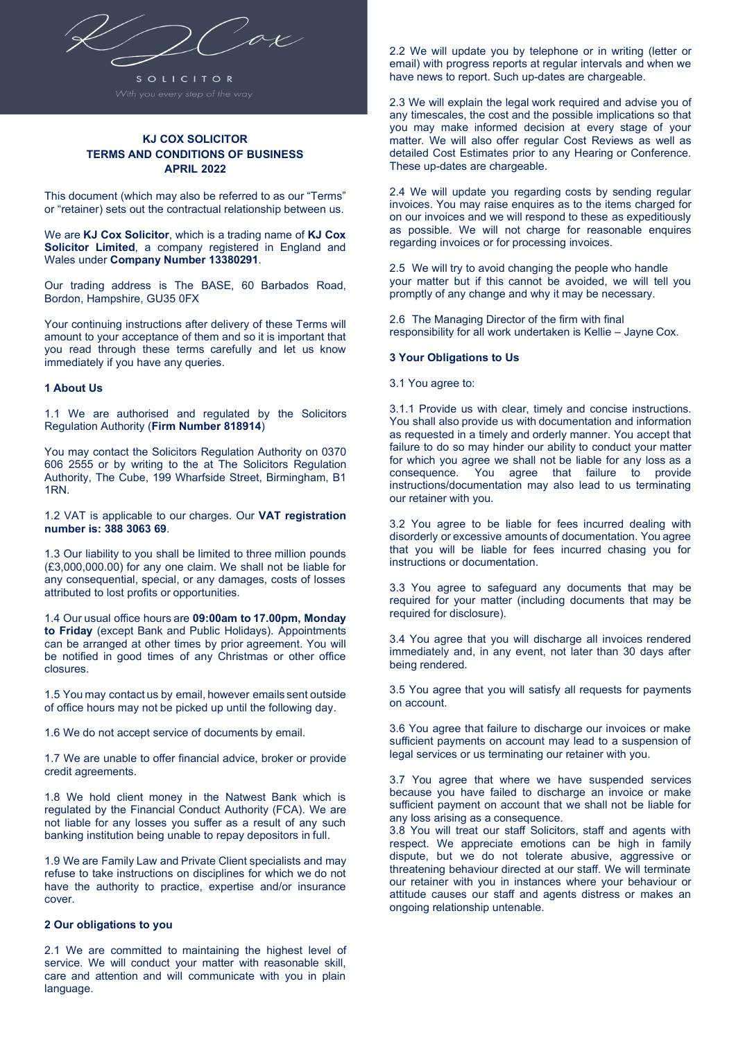

# **KJ COX SOLICITOR TERMS AND CONDITIONS OF BUSINESS APRIL 2022**

This document (which may also be referred to as our "Terms" or "retainer) sets out the contractual relationship between us.

We are **KJ Cox Solicitor**, which is a trading name of **KJ Cox Solicitor Limited**, a company registered in England and Wales under **Company Number 13380291**.

Our trading address is The BASE, 60 Barbados Road, Bordon, Hampshire, GU35 0FX

Your continuing instructions after delivery of these Terms will amount to your acceptance of them and so it is important that you read through these terms carefully and let us know immediately if you have any queries.

### **1 About Us**

1.1 We are authorised and regulated by the Solicitors Regulation Authority (**Firm Number 818914**)

You may contact the Solicitors Regulation Authority on 0370 606 2555 or by writing to the at The Solicitors Regulation Authority, The Cube, 199 Wharfside Street, Birmingham, B1 1RN.

1.2 VAT is applicable to our charges. Our **VAT registration number is: 388 3063 69**.

1.3 Our liability to you shall be limited to three million pounds (£3,000,000.00) for any one claim. We shall not be liable for any consequential, special, or any damages, costs of losses attributed to lost profits or opportunities.

1.4 Our usual office hours are **09:00am to 17.00pm, Monday to Friday** (except Bank and Public Holidays). Appointments can be arranged at other times by prior agreement. You will be notified in good times of any Christmas or other office closures.

1.5 You may contact us by email, however emails sent outside of office hours may not be picked up until the following day.

1.6 We do not accept service of documents by email.

1.7 We are unable to offer financial advice, broker or provide credit agreements.

1.8 We hold client money in the Natwest Bank which is regulated by the Financial Conduct Authority (FCA). We are not liable for any losses you suffer as a result of any such banking institution being unable to repay depositors in full.

1.9 We are Family Law and Private Client specialists and may refuse to take instructions on disciplines for which we do not have the authority to practice, expertise and/or insurance cover.

# **2 Our obligations to you**

2.1 We are committed to maintaining the highest level of service. We will conduct your matter with reasonable skill, care and attention and will communicate with you in plain language.

2.2 We will update you by telephone or in writing (letter or email) with progress reports at regular intervals and when we have news to report. Such up-dates are chargeable.

2.3 We will explain the legal work required and advise you of any timescales, the cost and the possible implications so that you may make informed decision at every stage of your matter. We will also offer regular Cost Reviews as well as detailed Cost Estimates prior to any Hearing or Conference. These up-dates are chargeable.

2.4 We will update you regarding costs by sending regular invoices. You may raise enquires as to the items charged for on our invoices and we will respond to these as expeditiously as possible. We will not charge for reasonable enquires regarding invoices or for processing invoices.

2.5 We will try to avoid changing the people who handle your matter but if this cannot be avoided, we will tell you promptly of any change and why it may be necessary.

2.6 The Managing Director of the firm with final responsibility for all work undertaken is Kellie – Jayne Cox.

## **3 Your Obligations to Us**

3.1 You agree to:

3.1.1 Provide us with clear, timely and concise instructions. You shall also provide us with documentation and information as requested in a timely and orderly manner. You accept that failure to do so may hinder our ability to conduct your matter for which you agree we shall not be liable for any loss as a consequence. You agree that failure to provide instructions/documentation may also lead to us terminating our retainer with you.

3.2 You agree to be liable for fees incurred dealing with disorderly or excessive amounts of documentation. You agree that you will be liable for fees incurred chasing you for instructions or documentation.

3.3 You agree to safeguard any documents that may be required for your matter (including documents that may be required for disclosure).

3.4 You agree that you will discharge all invoices rendered immediately and, in any event, not later than 30 days after being rendered.

3.5 You agree that you will satisfy all requests for payments on account.

3.6 You agree that failure to discharge our invoices or make sufficient payments on account may lead to a suspension of legal services or us terminating our retainer with you.

3.7 You agree that where we have suspended services because you have failed to discharge an invoice or make sufficient payment on account that we shall not be liable for any loss arising as a consequence.

3.8 You will treat our staff Solicitors, staff and agents with respect. We appreciate emotions can be high in family dispute, but we do not tolerate abusive, aggressive or threatening behaviour directed at our staff. We will terminate our retainer with you in instances where your behaviour or attitude causes our staff and agents distress or makes an ongoing relationship untenable.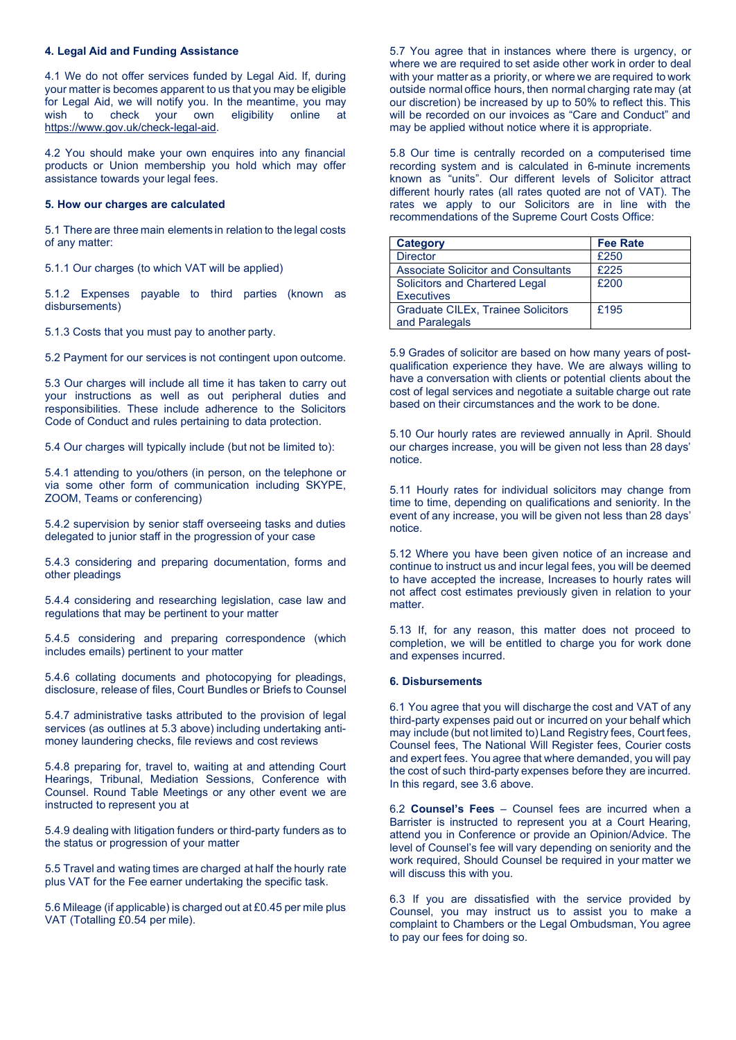### **4. Legal Aid and Funding Assistance**

4.1 We do not offer services funded by Legal Aid. If, during your matter is becomes apparent to us that you may be eligible for Legal Aid, we will notify you. In the meantime, you may wish to check your own eligibility online at to check https://www.gov.uk/check-legal-aid.

4.2 You should make your own enquires into any financial products or Union membership you hold which may offer assistance towards your legal fees.

#### **5. How our charges are calculated**

5.1 There are three main elements in relation to the legal costs of any matter:

5.1.1 Our charges (to which VAT will be applied)

5.1.2 Expenses payable to third parties (known as disbursements)

5.1.3 Costs that you must pay to another party.

5.2 Payment for our services is not contingent upon outcome.

5.3 Our charges will include all time it has taken to carry out your instructions as well as out peripheral duties and responsibilities. These include adherence to the Solicitors Code of Conduct and rules pertaining to data protection.

5.4 Our charges will typically include (but not be limited to):

5.4.1 attending to you/others (in person, on the telephone or via some other form of communication including SKYPE, ZOOM, Teams or conferencing)

5.4.2 supervision by senior staff overseeing tasks and duties delegated to junior staff in the progression of your case

5.4.3 considering and preparing documentation, forms and other pleadings

5.4.4 considering and researching legislation, case law and regulations that may be pertinent to your matter

5.4.5 considering and preparing correspondence (which includes emails) pertinent to your matter

5.4.6 collating documents and photocopying for pleadings, disclosure, release of files, Court Bundles or Briefs to Counsel

5.4.7 administrative tasks attributed to the provision of legal services (as outlines at 5.3 above) including undertaking antimoney laundering checks, file reviews and cost reviews

5.4.8 preparing for, travel to, waiting at and attending Court Hearings, Tribunal, Mediation Sessions, Conference with Counsel. Round Table Meetings or any other event we are instructed to represent you at

5.4.9 dealing with litigation funders or third-party funders as to the status or progression of your matter

5.5 Travel and wating times are charged at half the hourly rate plus VAT for the Fee earner undertaking the specific task.

5.6 Mileage (if applicable) is charged out at £0.45 per mile plus VAT (Totalling £0.54 per mile).

5.7 You agree that in instances where there is urgency, or where we are required to set aside other work in order to deal with your matter as a priority, or where we are required to work outside normal office hours, then normal charging rate may (at our discretion) be increased by up to 50% to reflect this. This will be recorded on our invoices as "Care and Conduct" and may be applied without notice where it is appropriate.

5.8 Our time is centrally recorded on a computerised time recording system and is calculated in 6-minute increments known as "units". Our different levels of Solicitor attract different hourly rates (all rates quoted are not of VAT). The rates we apply to our Solicitors are in line with the recommendations of the Supreme Court Costs Office:

| Category                                   | <b>Fee Rate</b> |
|--------------------------------------------|-----------------|
| <b>Director</b>                            | £250            |
| <b>Associate Solicitor and Consultants</b> | £225            |
| Solicitors and Chartered Legal             | £200            |
| <b>Executives</b>                          |                 |
| <b>Graduate CILEx, Trainee Solicitors</b>  | £195            |
| and Paralegals                             |                 |

5.9 Grades of solicitor are based on how many years of postqualification experience they have. We are always willing to have a conversation with clients or potential clients about the cost of legal services and negotiate a suitable charge out rate based on their circumstances and the work to be done.

5.10 Our hourly rates are reviewed annually in April. Should our charges increase, you will be given not less than 28 days' notice.

5.11 Hourly rates for individual solicitors may change from time to time, depending on qualifications and seniority. In the event of any increase, you will be given not less than 28 days' notice.

5.12 Where you have been given notice of an increase and continue to instruct us and incur legal fees, you will be deemed to have accepted the increase, Increases to hourly rates will not affect cost estimates previously given in relation to your matter.

5.13 If, for any reason, this matter does not proceed to completion, we will be entitled to charge you for work done and expenses incurred.

#### **6. Disbursements**

6.1 You agree that you will discharge the cost and VAT of any third-party expenses paid out or incurred on your behalf which may include (but not limited to) Land Registry fees, Court fees, Counsel fees, The National Will Register fees, Courier costs and expert fees. You agree that where demanded, you will pay the cost of such third-party expenses before they are incurred. In this regard, see 3.6 above.

6.2 **Counsel's Fees** – Counsel fees are incurred when a Barrister is instructed to represent you at a Court Hearing, attend you in Conference or provide an Opinion/Advice. The level of Counsel's fee will vary depending on seniority and the work required, Should Counsel be required in your matter we will discuss this with you.

6.3 If you are dissatisfied with the service provided by Counsel, you may instruct us to assist you to make a complaint to Chambers or the Legal Ombudsman, You agree to pay our fees for doing so.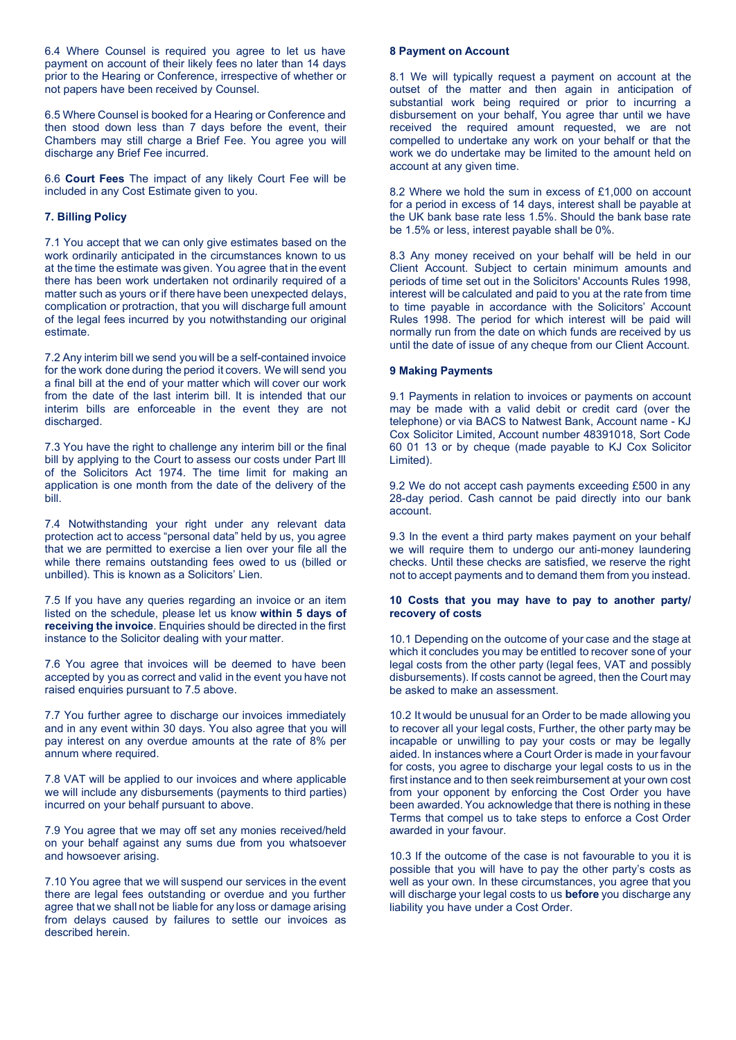6.4 Where Counsel is required you agree to let us have payment on account of their likely fees no later than 14 days prior to the Hearing or Conference, irrespective of whether or not papers have been received by Counsel.

6.5 Where Counsel is booked for a Hearing or Conference and then stood down less than 7 days before the event, their Chambers may still charge a Brief Fee. You agree you will discharge any Brief Fee incurred.

6.6 **Court Fees** The impact of any likely Court Fee will be included in any Cost Estimate given to you.

## **7. Billing Policy**

7.1 You accept that we can only give estimates based on the work ordinarily anticipated in the circumstances known to us at the time the estimate was given. You agree that in the event there has been work undertaken not ordinarily required of a matter such as yours or if there have been unexpected delays, complication or protraction, that you will discharge full amount of the legal fees incurred by you notwithstanding our original estimate.

7.2 Any interim bill we send you will be a self-contained invoice for the work done during the period it covers. We will send you a final bill at the end of your matter which will cover our work from the date of the last interim bill. It is intended that our interim bills are enforceable in the event they are not discharged.

7.3 You have the right to challenge any interim bill or the final bill by applying to the Court to assess our costs under Part lll of the Solicitors Act 1974. The time limit for making an application is one month from the date of the delivery of the bill.

7.4 Notwithstanding your right under any relevant data protection act to access "personal data" held by us, you agree that we are permitted to exercise a lien over your file all the while there remains outstanding fees owed to us (billed or unbilled). This is known as a Solicitors' Lien.

7.5 If you have any queries regarding an invoice or an item listed on the schedule, please let us know **within 5 days of receiving the invoice**. Enquiries should be directed in the first instance to the Solicitor dealing with your matter.

7.6 You agree that invoices will be deemed to have been accepted by you as correct and valid in the event you have not raised enquiries pursuant to 7.5 above.

7.7 You further agree to discharge our invoices immediately and in any event within 30 days. You also agree that you will pay interest on any overdue amounts at the rate of 8% per annum where required.

7.8 VAT will be applied to our invoices and where applicable we will include any disbursements (payments to third parties) incurred on your behalf pursuant to above.

7.9 You agree that we may off set any monies received/held on your behalf against any sums due from you whatsoever and howsoever arising.

7.10 You agree that we will suspend our services in the event there are legal fees outstanding or overdue and you further agree that we shall not be liable for any loss or damage arising from delays caused by failures to settle our invoices as described herein.

## **8 Payment on Account**

8.1 We will typically request a payment on account at the outset of the matter and then again in anticipation of substantial work being required or prior to incurring a disbursement on your behalf, You agree thar until we have received the required amount requested, we are not compelled to undertake any work on your behalf or that the work we do undertake may be limited to the amount held on account at any given time.

8.2 Where we hold the sum in excess of £1,000 on account for a period in excess of 14 days, interest shall be payable at the UK bank base rate less 1.5%. Should the bank base rate be 1.5% or less, interest payable shall be 0%.

8.3 Any money received on your behalf will be held in our Client Account. Subject to certain minimum amounts and periods of time set out in the Solicitors' Accounts Rules 1998, interest will be calculated and paid to you at the rate from time to time payable in accordance with the Solicitors' Account Rules 1998. The period for which interest will be paid will normally run from the date on which funds are received by us until the date of issue of any cheque from our Client Account.

### **9 Making Payments**

9.1 Payments in relation to invoices or payments on account may be made with a valid debit or credit card (over the telephone) or via BACS to Natwest Bank, Account name - KJ Cox Solicitor Limited, Account number 48391018, Sort Code 60 01 13 or by cheque (made payable to KJ Cox Solicitor Limited).

9.2 We do not accept cash payments exceeding £500 in any 28-day period. Cash cannot be paid directly into our bank account.

9.3 In the event a third party makes payment on your behalf we will require them to undergo our anti-money laundering checks. Until these checks are satisfied, we reserve the right not to accept payments and to demand them from you instead.

### **10 Costs that you may have to pay to another party/ recovery of costs**

10.1 Depending on the outcome of your case and the stage at which it concludes you may be entitled to recover sone of your legal costs from the other party (legal fees, VAT and possibly disbursements). If costs cannot be agreed, then the Court may be asked to make an assessment.

10.2 It would be unusual for an Order to be made allowing you to recover all your legal costs, Further, the other party may be incapable or unwilling to pay your costs or may be legally aided. In instances where a Court Order is made in yourfavour for costs, you agree to discharge your legal costs to us in the first instance and to then seek reimbursement at your own cost from your opponent by enforcing the Cost Order you have been awarded. You acknowledge that there is nothing in these Terms that compel us to take steps to enforce a Cost Order awarded in your favour.

10.3 If the outcome of the case is not favourable to you it is possible that you will have to pay the other party's costs as well as your own. In these circumstances, you agree that you will discharge your legal costs to us **before** you discharge any liability you have under a Cost Order.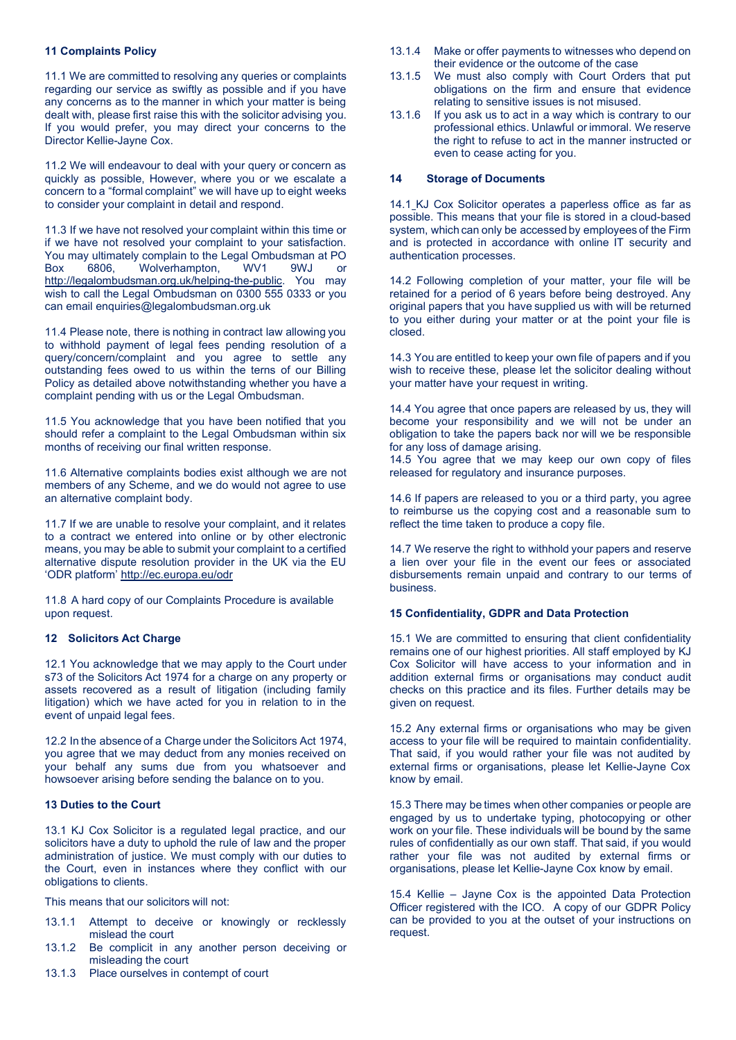## **11 Complaints Policy**

11.1 We are committed to resolving any queries or complaints regarding our service as swiftly as possible and if you have any concerns as to the manner in which your matter is being dealt with, please first raise this with the solicitor advising you. If you would prefer, you may direct your concerns to the Director Kellie-Jayne Cox.

11.2 We will endeavour to deal with your query or concern as quickly as possible, However, where you or we escalate a concern to a "formal complaint" we will have up to eight weeks to consider your complaint in detail and respond.

11.3 If we have not resolved your complaint within this time or if we have not resolved your complaint to your satisfaction. You may ultimately complain to the Legal Ombudsman at PO Box 6806, Wolverhampton, WV1 9WJ or http://legalombudsman.org.uk/helping-the-public. You may wish to call the Legal Ombudsman on 0300 555 0333 or you can email enquiries@legalombudsman.org.uk

11.4 Please note, there is nothing in contract law allowing you to withhold payment of legal fees pending resolution of a query/concern/complaint and you agree to settle any outstanding fees owed to us within the terns of our Billing Policy as detailed above notwithstanding whether you have a complaint pending with us or the Legal Ombudsman.

11.5 You acknowledge that you have been notified that you should refer a complaint to the Legal Ombudsman within six months of receiving our final written response.

11.6 Alternative complaints bodies exist although we are not members of any Scheme, and we do would not agree to use an alternative complaint body.

11.7 If we are unable to resolve your complaint, and it relates to a contract we entered into online or by other electronic means, you may be able to submit your complaint to a certified alternative dispute resolution provider in the UK via the EU 'ODR platform' http://ec.europa.eu/odr

11.8 A hard copy of our Complaints Procedure is available upon request.

# **12 Solicitors Act Charge**

12.1 You acknowledge that we may apply to the Court under s73 of the Solicitors Act 1974 for a charge on any property or assets recovered as a result of litigation (including family litigation) which we have acted for you in relation to in the event of unpaid legal fees.

12.2 In the absence of a Charge under the Solicitors Act 1974, you agree that we may deduct from any monies received on your behalf any sums due from you whatsoever and howsoever arising before sending the balance on to you.

# **13 Duties to the Court**

13.1 KJ Cox Solicitor is a regulated legal practice, and our solicitors have a duty to uphold the rule of law and the proper administration of justice. We must comply with our duties to the Court, even in instances where they conflict with our obligations to clients.

This means that our solicitors will not:

- 13.1.1 Attempt to deceive or knowingly or recklessly mislead the court
- 13.1.2 Be complicit in any another person deceiving or misleading the court
- 13.1.3 Place ourselves in contempt of court
- 13.1.4 Make or offer payments to witnesses who depend on their evidence or the outcome of the case
- 13.1.5 We must also comply with Court Orders that put obligations on the firm and ensure that evidence relating to sensitive issues is not misused.
- 13.1.6 If you ask us to act in a way which is contrary to our professional ethics. Unlawful or immoral. We reserve the right to refuse to act in the manner instructed or even to cease acting for you.

### **14 Storage of Documents**

14.1 KJ Cox Solicitor operates a paperless office as far as possible. This means that your file is stored in a cloud-based system, which can only be accessed by employees of the Firm and is protected in accordance with online IT security and authentication processes.

14.2 Following completion of your matter, your file will be retained for a period of 6 years before being destroyed. Any original papers that you have supplied us with will be returned to you either during your matter or at the point your file is closed.

14.3 You are entitled to keep your own file of papers and if you wish to receive these, please let the solicitor dealing without your matter have your request in writing.

14.4 You agree that once papers are released by us, they will become your responsibility and we will not be under an obligation to take the papers back nor will we be responsible for any loss of damage arising.

14.5 You agree that we may keep our own copy of files released for regulatory and insurance purposes.

14.6 If papers are released to you or a third party, you agree to reimburse us the copying cost and a reasonable sum to reflect the time taken to produce a copy file.

14.7 We reserve the right to withhold your papers and reserve a lien over your file in the event our fees or associated disbursements remain unpaid and contrary to our terms of business.

## **15 Confidentiality, GDPR and Data Protection**

15.1 We are committed to ensuring that client confidentiality remains one of our highest priorities. All staff employed by KJ Cox Solicitor will have access to your information and in addition external firms or organisations may conduct audit checks on this practice and its files. Further details may be given on request.

15.2 Any external firms or organisations who may be given access to your file will be required to maintain confidentiality. That said, if you would rather your file was not audited by external firms or organisations, please let Kellie-Jayne Cox know by email.

15.3 There may be times when other companies or people are engaged by us to undertake typing, photocopying or other work on your file. These individuals will be bound by the same rules of confidentially as our own staff. That said, if you would rather your file was not audited by external firms or organisations, please let Kellie-Jayne Cox know by email.

15.4 Kellie – Jayne Cox is the appointed Data Protection Officer registered with the ICO. A copy of our GDPR Policy can be provided to you at the outset of your instructions on request.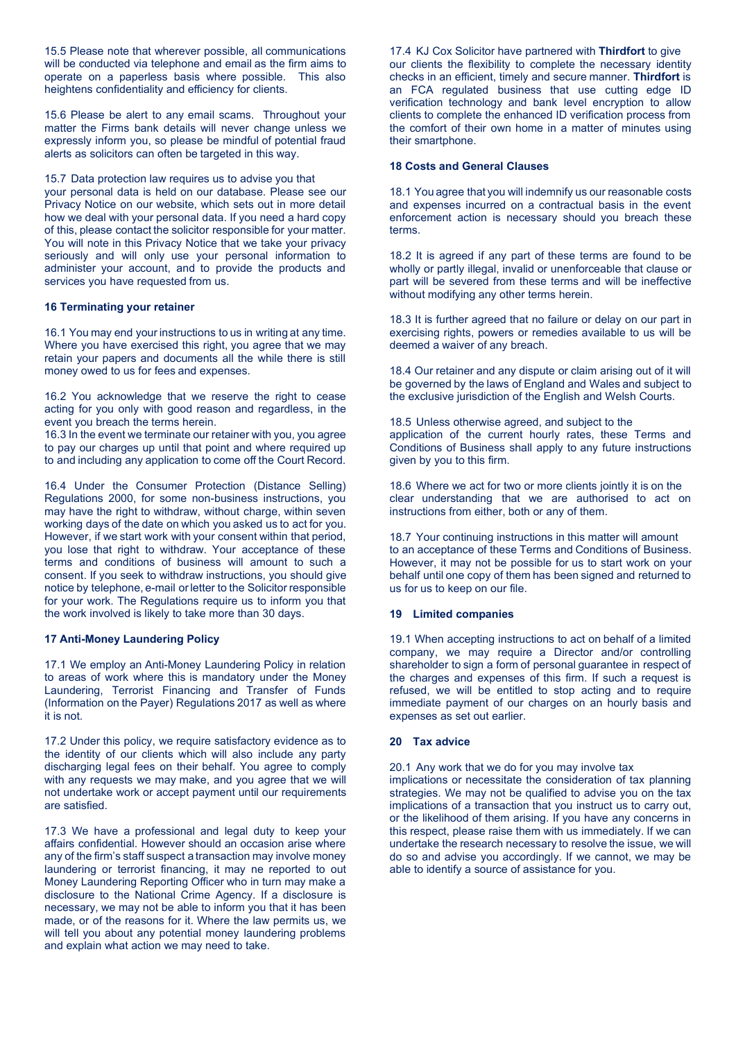15.5 Please note that wherever possible, all communications will be conducted via telephone and email as the firm aims to operate on a paperless basis where possible. This also heightens confidentiality and efficiency for clients.

15.6 Please be alert to any email scams. Throughout your matter the Firms bank details will never change unless we expressly inform you, so please be mindful of potential fraud alerts as solicitors can often be targeted in this way.

15.7 Data protection law requires us to advise you that your personal data is held on our database. Please see our Privacy Notice on our website, which sets out in more detail how we deal with your personal data. If you need a hard copy of this, please contact the solicitor responsible for your matter. You will note in this Privacy Notice that we take your privacy seriously and will only use your personal information to administer your account, and to provide the products and services you have requested from us.

### **16 Terminating your retainer**

16.1 You may end your instructions to us in writing at any time. Where you have exercised this right, you agree that we may retain your papers and documents all the while there is still money owed to us for fees and expenses.

16.2 You acknowledge that we reserve the right to cease acting for you only with good reason and regardless, in the event you breach the terms herein.

16.3 In the event we terminate our retainer with you, you agree to pay our charges up until that point and where required up to and including any application to come off the Court Record.

16.4 Under the Consumer Protection (Distance Selling) Regulations 2000, for some non-business instructions, you may have the right to withdraw, without charge, within seven working days of the date on which you asked us to act for you. However, if we start work with your consent within that period, you lose that right to withdraw. Your acceptance of these terms and conditions of business will amount to such a consent. If you seek to withdraw instructions, you should give notice by telephone, e-mail orletter to the Solicitor responsible for your work. The Regulations require us to inform you that the work involved is likely to take more than 30 days.

#### **17 Anti-Money Laundering Policy**

17.1 We employ an Anti-Money Laundering Policy in relation to areas of work where this is mandatory under the Money Laundering, Terrorist Financing and Transfer of Funds (Information on the Payer) Regulations 2017 as well as where it is not.

17.2 Under this policy, we require satisfactory evidence as to the identity of our clients which will also include any party discharging legal fees on their behalf. You agree to comply with any requests we may make, and you agree that we will not undertake work or accept payment until our requirements are satisfied.

17.3 We have a professional and legal duty to keep your affairs confidential. However should an occasion arise where any of the firm's staff suspect a transaction may involve money laundering or terrorist financing, it may ne reported to out Money Laundering Reporting Officer who in turn may make a disclosure to the National Crime Agency. If a disclosure is necessary, we may not be able to inform you that it has been made, or of the reasons for it. Where the law permits us, we will tell you about any potential money laundering problems and explain what action we may need to take.

17.4 KJ Cox Solicitor have partnered with **Thirdfort** to give our clients the flexibility to complete the necessary identity checks in an efficient, timely and secure manner. **Thirdfort** is an FCA regulated business that use cutting edge ID verification technology and bank level encryption to allow clients to complete the enhanced ID verification process from the comfort of their own home in a matter of minutes using their smartphone.

#### **18 Costs and General Clauses**

18.1 You agree that you will indemnify us our reasonable costs and expenses incurred on a contractual basis in the event enforcement action is necessary should you breach these terms.

18.2 It is agreed if any part of these terms are found to be wholly or partly illegal, invalid or unenforceable that clause or part will be severed from these terms and will be ineffective without modifying any other terms herein.

18.3 It is further agreed that no failure or delay on our part in exercising rights, powers or remedies available to us will be deemed a waiver of any breach.

18.4 Our retainer and any dispute or claim arising out of it will be governed by the laws of England and Wales and subject to the exclusive jurisdiction of the English and Welsh Courts.

18.5 Unless otherwise agreed, and subject to the application of the current hourly rates, these Terms and Conditions of Business shall apply to any future instructions given by you to this firm.

18.6 Where we act for two or more clients jointly it is on the clear understanding that we are authorised to act on instructions from either, both or any of them.

18.7 Your continuing instructions in this matter will amount to an acceptance of these Terms and Conditions of Business. However, it may not be possible for us to start work on your behalf until one copy of them has been signed and returned to us for us to keep on our file.

#### **19 Limited companies**

19.1 When accepting instructions to act on behalf of a limited company, we may require a Director and/or controlling shareholder to sign a form of personal guarantee in respect of the charges and expenses of this firm. If such a request is refused, we will be entitled to stop acting and to require immediate payment of our charges on an hourly basis and expenses as set out earlier.

### **20 Tax advice**

20.1 Any work that we do for you may involve tax

implications or necessitate the consideration of tax planning strategies. We may not be qualified to advise you on the tax implications of a transaction that you instruct us to carry out, or the likelihood of them arising. If you have any concerns in this respect, please raise them with us immediately. If we can undertake the research necessary to resolve the issue, we will do so and advise you accordingly. If we cannot, we may be able to identify a source of assistance for you.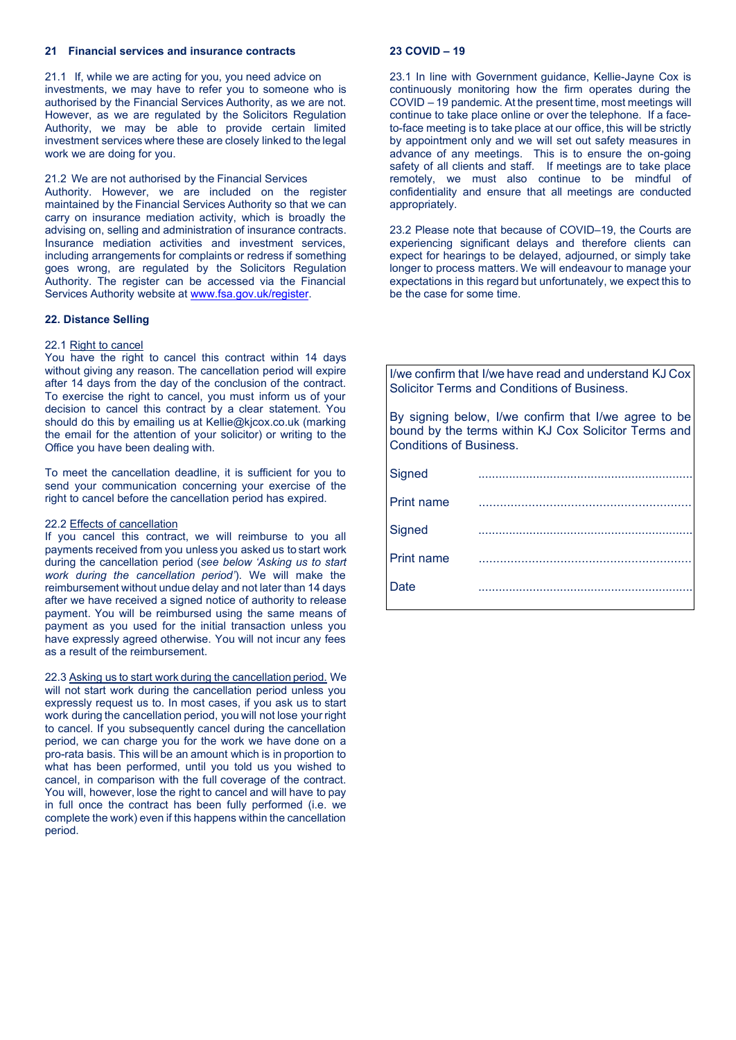### **21 Financial services and insurance contracts**

21.1 If, while we are acting for you, you need advice on investments, we may have to refer you to someone who is authorised by the Financial Services Authority, as we are not. However, as we are regulated by the Solicitors Regulation Authority, we may be able to provide certain limited investment services where these are closely linked to the legal work we are doing for you.

21.2 We are not authorised by the Financial Services

Authority. However, we are included on the register maintained by the Financial Services Authority so that we can carry on insurance mediation activity, which is broadly the advising on, selling and administration of insurance contracts. Insurance mediation activities and investment services, including arrangements for complaints or redress if something goes wrong, are regulated by the Solicitors Regulation Authority. The register can be accessed via the Financial Services Authority website at www.fsa.gov.uk/register.

## **22. Distance Selling**

## 22.1 Right to cancel

You have the right to cancel this contract within 14 days without giving any reason. The cancellation period will expire after 14 days from the day of the conclusion of the contract. To exercise the right to cancel, you must inform us of your decision to cancel this contract by a clear statement. You should do this by emailing us at Kellie@kjcox.co.uk (marking the email for the attention of your solicitor) or writing to the Office you have been dealing with.

To meet the cancellation deadline, it is sufficient for you to send your communication concerning your exercise of the right to cancel before the cancellation period has expired.

#### 22.2 Effects of cancellation

If you cancel this contract, we will reimburse to you all payments received from you unless you asked us to start work during the cancellation period (*see below 'Asking us to start work during the cancellation period'*). We will make the reimbursement without undue delay and not later than 14 days after we have received a signed notice of authority to release payment. You will be reimbursed using the same means of payment as you used for the initial transaction unless you have expressly agreed otherwise. You will not incur any fees as a result of the reimbursement.

22.3 Asking us to start work during the cancellation period. We will not start work during the cancellation period unless you expressly request us to. In most cases, if you ask us to start work during the cancellation period, you will not lose your right to cancel. If you subsequently cancel during the cancellation period, we can charge you for the work we have done on a pro-rata basis. This will be an amount which is in proportion to what has been performed, until you told us you wished to cancel, in comparison with the full coverage of the contract. You will, however, lose the right to cancel and will have to pay in full once the contract has been fully performed (i.e. we complete the work) even if this happens within the cancellation period.

### **23 COVID – 19**

23.1 In line with Government guidance, Kellie-Jayne Cox is continuously monitoring how the firm operates during the COVID – 19 pandemic. At the present time, most meetings will continue to take place online or over the telephone. If a faceto-face meeting is to take place at our office, this will be strictly by appointment only and we will set out safety measures in advance of any meetings. This is to ensure the on-going safety of all clients and staff. If meetings are to take place remotely, we must also continue to be mindful of confidentiality and ensure that all meetings are conducted appropriately.

23.2 Please note that because of COVID–19, the Courts are experiencing significant delays and therefore clients can expect for hearings to be delayed, adjourned, or simply take longer to process matters. We will endeavour to manage your expectations in this regard but unfortunately, we expect this to be the case for some time.

I/we confirm that I/we have read and understand KJ Cox Solicitor Terms and Conditions of Business.

By signing below, I/we confirm that I/we agree to be bound by the terms within KJ Cox Solicitor Terms and Conditions of Business.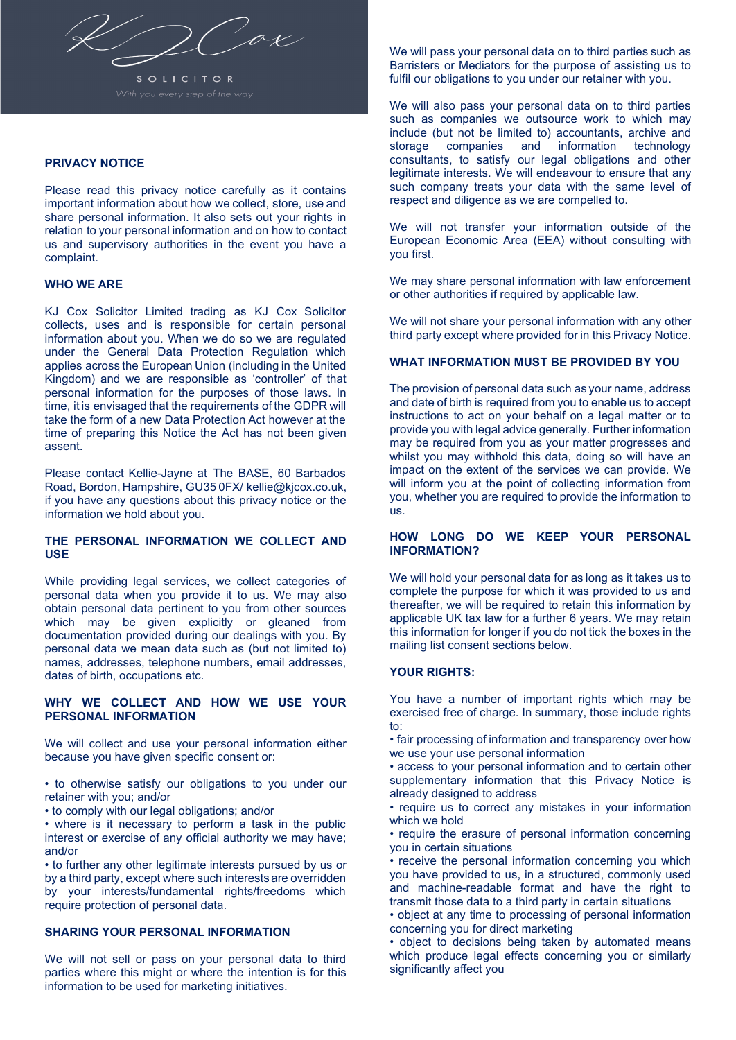

S O L I C I T O R

# **PRIVACY NOTICE**

Please read this privacy notice carefully as it contains important information about how we collect, store, use and share personal information. It also sets out your rights in relation to your personal information and on how to contact us and supervisory authorities in the event you have a complaint.

## **WHO WE ARE**

KJ Cox Solicitor Limited trading as KJ Cox Solicitor collects, uses and is responsible for certain personal information about you. When we do so we are regulated under the General Data Protection Regulation which applies across the European Union (including in the United Kingdom) and we are responsible as 'controller' of that personal information for the purposes of those laws. In time, it is envisaged that the requirements of the GDPR will take the form of a new Data Protection Act however at the time of preparing this Notice the Act has not been given assent.

Please contact Kellie-Jayne at The BASE, 60 Barbados Road, Bordon, Hampshire, GU35 0FX/ kellie@kjcox.co.uk, if you have any questions about this privacy notice or the information we hold about you.

# **THE PERSONAL INFORMATION WE COLLECT AND USE**

While providing legal services, we collect categories of personal data when you provide it to us. We may also obtain personal data pertinent to you from other sources which may be given explicitly or gleaned from documentation provided during our dealings with you. By personal data we mean data such as (but not limited to) names, addresses, telephone numbers, email addresses, dates of birth, occupations etc.

## **WHY WE COLLECT AND HOW WE USE YOUR PERSONAL INFORMATION**

We will collect and use your personal information either because you have given specific consent or:

- to otherwise satisfy our obligations to you under our retainer with you; and/or
- to comply with our legal obligations; and/or

• where is it necessary to perform a task in the public interest or exercise of any official authority we may have; and/or

• to further any other legitimate interests pursued by us or by a third party, except where such interests are overridden by your interests/fundamental rights/freedoms which require protection of personal data.

# **SHARING YOUR PERSONAL INFORMATION**

We will not sell or pass on your personal data to third parties where this might or where the intention is for this information to be used for marketing initiatives.

We will pass your personal data on to third parties such as Barristers or Mediators for the purpose of assisting us to fulfil our obligations to you under our retainer with you.

We will also pass your personal data on to third parties such as companies we outsource work to which may include (but not be limited to) accountants, archive and information consultants, to satisfy our legal obligations and other legitimate interests. We will endeavour to ensure that any such company treats your data with the same level of respect and diligence as we are compelled to.

We will not transfer your information outside of the European Economic Area (EEA) without consulting with you first.

We may share personal information with law enforcement or other authorities if required by applicable law.

We will not share your personal information with any other third party except where provided for in this Privacy Notice.

# **WHAT INFORMATION MUST BE PROVIDED BY YOU**

The provision of personal data such as your name, address and date of birth is required from you to enable us to accept instructions to act on your behalf on a legal matter or to provide you with legal advice generally. Further information may be required from you as your matter progresses and whilst you may withhold this data, doing so will have an impact on the extent of the services we can provide. We will inform you at the point of collecting information from you, whether you are required to provide the information to us.

## **HOW LONG DO WE KEEP YOUR PERSONAL INFORMATION?**

We will hold your personal data for as long as it takes us to complete the purpose for which it was provided to us and thereafter, we will be required to retain this information by applicable UK tax law for a further 6 years. We may retain this information for longer if you do not tick the boxes in the mailing list consent sections below.

## **YOUR RIGHTS:**

You have a number of important rights which may be exercised free of charge. In summary, those include rights to:

• fair processing of information and transparency over how we use your use personal information

• access to your personal information and to certain other supplementary information that this Privacy Notice is already designed to address

• require us to correct any mistakes in your information which we hold

• require the erasure of personal information concerning you in certain situations

• receive the personal information concerning you which you have provided to us, in a structured, commonly used and machine-readable format and have the right to transmit those data to a third party in certain situations

• object at any time to processing of personal information concerning you for direct marketing

• object to decisions being taken by automated means which produce legal effects concerning you or similarly significantly affect you